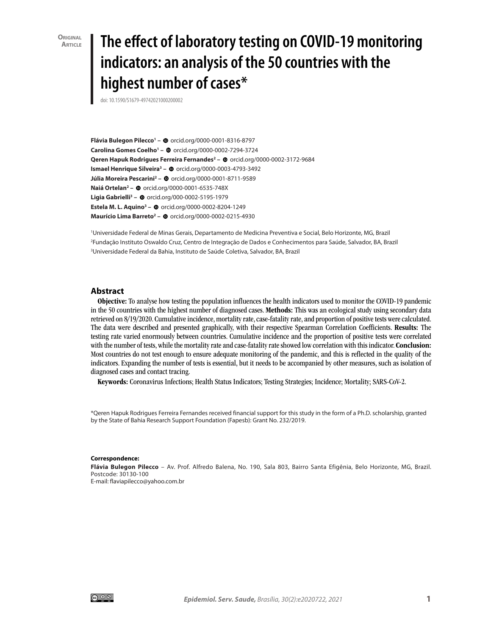**Original Article**

# **The effect of laboratory testing on COVID-19 monitoring indicators: an analysis of the 50 countries with the highest number of cases\***

doi: [10.1590/S1679-49742021000200002](http://doi.org/10.1590/S1679-49742021000200002)

**FláviaBulegon Pilecco<sup>1</sup> - @** [orcid.org/0000-0001-8316-8797](http://orcid.org/0000-0001-8316-8797) **CarolinaGomes Coelho<sup>1</sup> - @ [orcid.org/0000-0002-7294-3724](http://orcid.org/0000-0002-7294-3724) QerenHapuk Rodrigues Ferreira Fernandes<sup>2</sup> - @** [orcid.org/0000-0002-3172-9684](http://orcid.org/0000-0002-3172-9684) **IsmaelHenrique Silveira<sup>3</sup> - @** [orcid.org/0000-0003-4793-3492](http://orcid.org/0000-0003-4793-3492) **JúliaMoreira Pescarini<sup>2</sup> - ©** [orcid.org/0000-0001-8711-9589](http://orcid.org/0000-0001-8711-9589) **NaiáOrtelan<sup>2</sup> – @** [orcid.org/0000-0001-6535-748X](http://orcid.org/0000-0001-6535-748X) **Ligia Gabrielli<sup>3</sup> - ©** [orcid.org/000-0002-5195-1979](http://orcid.org/000-0002-5195-1979) **EstelaM. L. Aquino<sup>3</sup> - @ [orcid.org/0000-0002-8204-1249](http://orcid.org/0000-0002-8204-1249) MaurícioLima Barreto<sup>2</sup> – ©** [orcid.org/0000-0002-0215-4930](http://orcid.org/0000-0002-0215-4930)

1 Universidade Federal de Minas Gerais, Departamento de Medicina Preventiva e Social, Belo Horizonte, MG, Brazil 2 Fundação Instituto Oswaldo Cruz, Centro de Integração de Dados e Conhecimentos para Saúde, Salvador, BA, Brazil 3 Universidade Federal da Bahia, Instituto de Saúde Coletiva, Salvador, BA, Brazil

#### **Abstract**

Objective: To analyse how testing the population influences the health indicators used to monitor the COVID-19 pandemic in the 50 countries with the highest number of diagnosed cases. Methods: This was an ecological study using secondary data retrieved on 8/19/2020. Cumulative incidence, mortality rate, case-fatality rate, and proportion of positive tests were calculated. The data were described and presented graphically, with their respective Spearman Correlation Coefficients. Results: The testing rate varied enormously between countries. Cumulative incidence and the proportion of positive tests were correlated with the number of tests, while the mortality rate and case-fatality rate showed low correlation with this indicator. Conclusion: Most countries do not test enough to ensure adequate monitoring of the pandemic, and this is reflected in the quality of the indicators. Expanding the number of tests is essential, but it needs to be accompanied by other measures, such as isolation of diagnosed cases and contact tracing.

Keywords: Coronavirus Infections; Health Status Indicators; Testing Strategies; Incidence; Mortality; SARS-CoV-2.

\*Qeren Hapuk Rodrigues Ferreira Fernandes received financial support for this study in the form of a Ph.D. scholarship, granted by the State of Bahia Research Support Foundation (Fapesb): Grant No. 232/2019.

#### **Correspondence:**

**Flávia Bulegon Pilecco** – Av. Prof. Alfredo Balena, No. 190, Sala 803, Bairro Santa Efigênia, Belo Horizonte, MG, Brazil. Postcode: 30130-100 E-mail: [flaviapilecco@yahoo.com.br](mailto:flaviapilecco@yahoo.com.br)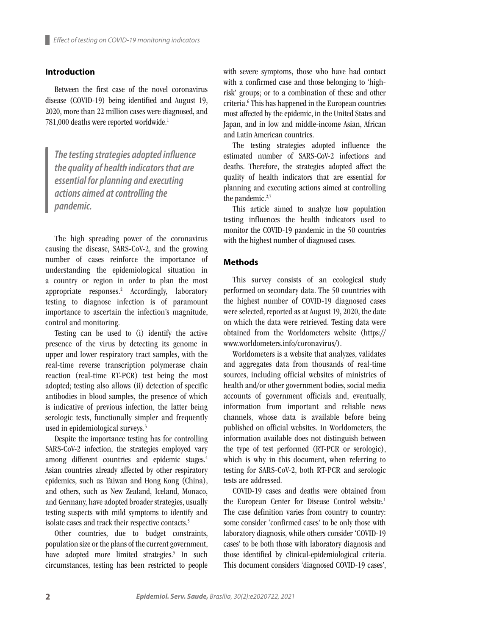# **Introduction**

Between the first case of the novel coronavirus disease (COVID-19) being identified and August 19, 2020, more than 22 million cases were diagnosed, and 781,000 deaths were reported worldwide.<sup>1</sup>

*The testing strategies adopted influence the quality of health indicators that are essential for planning and executing actions aimed at controlling the pandemic.*

The high spreading power of the coronavirus causing the disease, SARS-CoV-2, and the growing number of cases reinforce the importance of understanding the epidemiological situation in a country or region in order to plan the most appropriate responses.2 Accordingly, laboratory testing to diagnose infection is of paramount importance to ascertain the infection's magnitude, control and monitoring.

Testing can be used to (i) identify the active presence of the virus by detecting its genome in upper and lower respiratory tract samples, with the real-time reverse transcription polymerase chain reaction (real-time RT-PCR) test being the most adopted; testing also allows (ii) detection of specific antibodies in blood samples, the presence of which is indicative of previous infection, the latter being serologic tests, functionally simpler and frequently used in epidemiological surveys.3

Despite the importance testing has for controlling SARS-CoV-2 infection, the strategies employed vary among different countries and epidemic stages.<sup>4</sup> Asian countries already affected by other respiratory epidemics, such as Taiwan and Hong Kong (China), and others, such as New Zealand, Iceland, Monaco, and Germany, have adopted broader strategies, usually testing suspects with mild symptoms to identify and isolate cases and track their respective contacts.<sup>5</sup>

Other countries, due to budget constraints, population size or the plans of the current government, have adopted more limited strategies.<sup>5</sup> In such circumstances, testing has been restricted to people

with severe symptoms, those who have had contact with a confirmed case and those belonging to 'highrisk' groups; or to a combination of these and other criteria.6 This has happened in the European countries most affected by the epidemic, in the United States and Japan, and in low and middle-income Asian, African and Latin American countries.

The testing strategies adopted influence the estimated number of SARS-CoV-2 infections and deaths. Therefore, the strategies adopted affect the quality of health indicators that are essential for planning and executing actions aimed at controlling the pandemic.<sup>2,7</sup>

This article aimed to analyze how population testing influences the health indicators used to monitor the COVID-19 pandemic in the 50 countries with the highest number of diagnosed cases.

## **Methods**

This survey consists of an ecological study performed on secondary data. The 50 countries with the highest number of COVID-19 diagnosed cases were selected, reported as at August 19, 2020, the date on which the data were retrieved. Testing data were obtained from the Worldometers website [\(https://](https://www.worldometers.info/coronavirus/) [www.worldometers.info/coronavirus/\)](https://www.worldometers.info/coronavirus/).

Worldometers is a website that analyzes, validates and aggregates data from thousands of real-time sources, including official websites of ministries of health and/or other government bodies, social media accounts of government officials and, eventually, information from important and reliable news channels, whose data is available before being published on official websites. In Worldometers, the information available does not distinguish between the type of test performed (RT-PCR or serologic), which is why in this document, when referring to testing for SARS-CoV-2, both RT-PCR and serologic tests are addressed.

COVID-19 cases and deaths were obtained from the European Center for Disease Control website.<sup>1</sup> The case definition varies from country to country: some consider 'confirmed cases' to be only those with laboratory diagnosis, while others consider 'COVID-19 cases' to be both those with laboratory diagnosis and those identified by clinical-epidemiological criteria. This document considers 'diagnosed COVID-19 cases',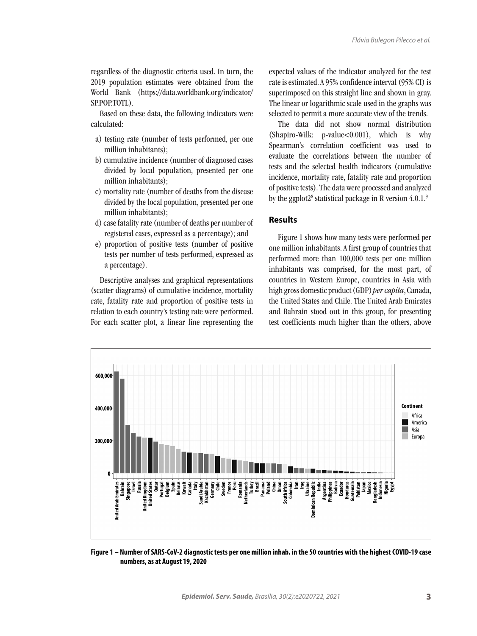regardless of the diagnostic criteria used. In turn, the 2019 population estimates were obtained from the World Bank ([https://data.worldbank.org/indicator/](https://data.worldbank.org/indicator/SP.POP.TOTL) [SP.POP.TOTL\)](https://data.worldbank.org/indicator/SP.POP.TOTL).

Based on these data, the following indicators were calculated:

- a) testing rate (number of tests performed, per one million inhabitants);
- b) cumulative incidence (number of diagnosed cases divided by local population, presented per one million inhabitants);
- c) mortality rate (number of deaths from the disease divided by the local population, presented per one million inhabitants);
- d) case fatality rate (number of deaths per number of registered cases, expressed as a percentage); and
- e) proportion of positive tests (number of positive tests per number of tests performed, expressed as a percentage).

Descriptive analyses and graphical representations (scatter diagrams) of cumulative incidence, mortality rate, fatality rate and proportion of positive tests in relation to each country's testing rate were performed. For each scatter plot, a linear line representing the expected values of the indicator analyzed for the test rate is estimated. A 95% confidence interval (95% CI) is superimposed on this straight line and shown in gray. The linear or logarithmic scale used in the graphs was selected to permit a more accurate view of the trends.

The data did not show normal distribution (Shapiro-Wilk: p-value<0.001), which is why Spearman's correlation coefficient was used to evaluate the correlations between the number of tests and the selected health indicators (cumulative incidence, mortality rate, fatality rate and proportion of positive tests). The data were processed and analyzed by the ggplot2<sup>8</sup> statistical package in R version  $4.0.1$ <sup>5</sup>

#### **Results**

Figure 1 shows how many tests were performed per one million inhabitants. A first group of countries that performed more than 100,000 tests per one million inhabitants was comprised, for the most part, of countries in Western Europe, countries in Asia with high gross domestic product (GDP) *per capita*, Canada, the United States and Chile. The United Arab Emirates and Bahrain stood out in this group, for presenting test coefficients much higher than the others, above



**Figure 1 – Number of SARS-CoV-2 diagnostic tests per one million inhab. in the 50 countries with the highest COVID-19 case numbers, as at August 19, 2020**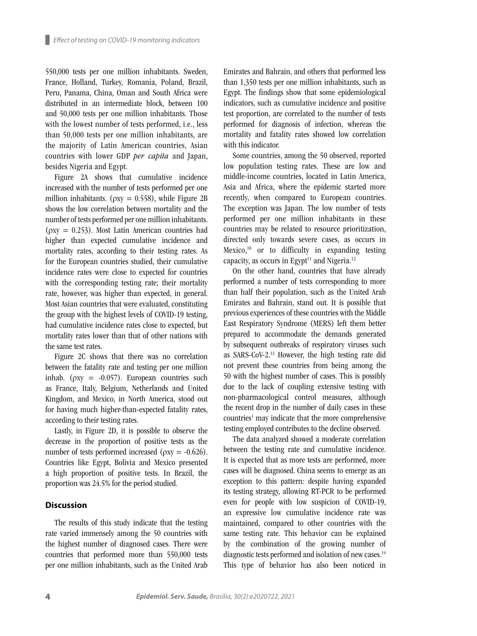550,000 tests per one million inhabitants. Sweden, France, Holland, Turkey, Romania, Poland, Brazil, Peru, Panama, China, Oman and South Africa were distributed in an intermediate block, between 100 and 50,000 tests per one million inhabitants. Those with the lowest number of tests performed, i.e., less than 50,000 tests per one million inhabitants, are the majority of Latin American countries, Asian countries with lower GDP *per capita* and Japan, besides Nigeria and Egypt.

Figure 2A shows that cumulative incidence increased with the number of tests performed per one million inhabitants. ( $\rho xy = 0.558$ ), while Figure 2B shows the low correlation between mortality and the number of tests performed per one million inhabitants. ( $\rho$ xy = 0.253). Most Latin American countries had higher than expected cumulative incidence and mortality rates, according to their testing rates. As for the European countries studied, their cumulative incidence rates were close to expected for countries with the corresponding testing rate; their mortality rate, however, was higher than expected, in general. Most Asian countries that were evaluated, constituting the group with the highest levels of COVID-19 testing, had cumulative incidence rates close to expected, but mortality rates lower than that of other nations with the same test rates.

Figure 2C shows that there was no correlation between the fatality rate and testing per one million inhab. ( $\rho xy = -0.057$ ). European countries such as France, Italy, Belgium, Netherlands and United Kingdom, and Mexico, in North America, stood out for having much higher-than-expected fatality rates, according to their testing rates.

Lastly, in Figure 2D, it is possible to observe the decrease in the proportion of positive tests as the number of tests performed increased ( $\rho xy = -0.626$ ). Countries like Egypt, Bolivia and Mexico presented a high proportion of positive tests. In Brazil, the proportion was 24.5% for the period studied.

### **Discussion**

The results of this study indicate that the testing rate varied immensely among the 50 countries with the highest number of diagnosed cases. There were countries that performed more than 550,000 tests per one million inhabitants, such as the United Arab

Emirates and Bahrain, and others that performed less than 1,350 tests per one million inhabitants, such as Egypt. The findings show that some epidemiological indicators, such as cumulative incidence and positive test proportion, are correlated to the number of tests performed for diagnosis of infection, whereas the mortality and fatality rates showed low correlation with this indicator.

Some countries, among the 50 observed, reported low population testing rates. These are low and middle-income countries, located in Latin America, Asia and Africa, where the epidemic started more recently, when compared to European countries. The exception was Japan. The low number of tests performed per one million inhabitants in these countries may be related to resource prioritization, directed only towards severe cases, as occurs in Mexico, $^{10}$  or to difficulty in expanding testing capacity, as occurs in Egypt<sup>11</sup> and Nigeria.<sup>12</sup>

On the other hand, countries that have already performed a number of tests corresponding to more than half their population, such as the United Arab Emirates and Bahrain, stand out. It is possible that previous experiences of these countries with the Middle East Respiratory Syndrome (MERS) left them better prepared to accommodate the demands generated by subsequent outbreaks of respiratory viruses such as SARS-CoV-2.13 However, the high testing rate did not prevent these countries from being among the 50 with the highest number of cases. This is possibly due to the lack of coupling extensive testing with non-pharmacological control measures, although the recent drop in the number of daily cases in these countries<sup>1</sup> may indicate that the more comprehensive testing employed contributes to the decline observed.

The data analyzed showed a moderate correlation between the testing rate and cumulative incidence. It is expected that as more tests are performed, more cases will be diagnosed. China seems to emerge as an exception to this pattern: despite having expanded its testing strategy, allowing RT-PCR to be performed even for people with low suspicion of COVID-19, an expressive low cumulative incidence rate was maintained, compared to other countries with the same testing rate. This behavior can be explained by the combination of the growing number of diagnostic tests performed and isolation of new cases.<sup>14</sup> This type of behavior has also been noticed in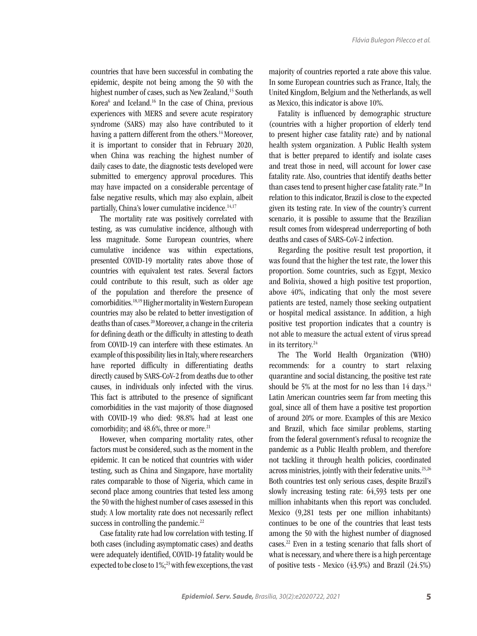countries that have been successful in combating the epidemic, despite not being among the 50 with the highest number of cases, such as New Zealand,<sup>15</sup> South Korea<sup>6</sup> and Iceland.<sup>16</sup> In the case of China, previous experiences with MERS and severe acute respiratory syndrome (SARS) may also have contributed to it having a pattern different from the others.<sup>14</sup> Moreover, it is important to consider that in February 2020, when China was reaching the highest number of daily cases to date, the diagnostic tests developed were submitted to emergency approval procedures. This may have impacted on a considerable percentage of false negative results, which may also explain, albeit partially, China's lower cumulative incidence.<sup>14,17</sup>

The mortality rate was positively correlated with testing, as was cumulative incidence, although with less magnitude. Some European countries, where cumulative incidence was within expectations, presented COVID-19 mortality rates above those of countries with equivalent test rates. Several factors could contribute to this result, such as older age of the population and therefore the presence of comorbidities.18,19 Higher mortality in Western European countries may also be related to better investigation of deaths than of cases.20 Moreover, a change in the criteria for defining death or the difficulty in attesting to death from COVID-19 can interfere with these estimates. An example of this possibility lies in Italy, where researchers have reported difficulty in differentiating deaths directly caused by SARS-CoV-2 from deaths due to other causes, in individuals only infected with the virus. This fact is attributed to the presence of significant comorbidities in the vast majority of those diagnosed with COVID-19 who died: 98.8% had at least one comorbidity; and  $48.6\%$ , three or more.<sup>21</sup>

However, when comparing mortality rates, other factors must be considered, such as the moment in the epidemic. It can be noticed that countries with wider testing, such as China and Singapore, have mortality rates comparable to those of Nigeria, which came in second place among countries that tested less among the 50 with the highest number of cases assessed in this study. A low mortality rate does not necessarily reflect success in controlling the pandemic.<sup>22</sup>

Case fatality rate had low correlation with testing. If both cases (including asymptomatic cases) and deaths were adequately identified, COVID-19 fatality would be expected to be close to 1%;<sup>23</sup> with few exceptions, the vast majority of countries reported a rate above this value. In some European countries such as France, Italy, the United Kingdom, Belgium and the Netherlands, as well as Mexico, this indicator is above 10%.

Fatality is influenced by demographic structure (countries with a higher proportion of elderly tend to present higher case fatality rate) and by national health system organization. A Public Health system that is better prepared to identify and isolate cases and treat those in need, will account for lower case fatality rate. Also, countries that identify deaths better than cases tend to present higher case fatality rate.<sup>20</sup> In relation to this indicator, Brazil is close to the expected given its testing rate. In view of the country's current scenario, it is possible to assume that the Brazilian result comes from widespread underreporting of both deaths and cases of SARS-CoV-2 infection.

Regarding the positive result test proportion, it was found that the higher the test rate, the lower this proportion. Some countries, such as Egypt, Mexico and Bolivia, showed a high positive test proportion, above 40%, indicating that only the most severe patients are tested, namely those seeking outpatient or hospital medical assistance. In addition, a high positive test proportion indicates that a country is not able to measure the actual extent of virus spread in its territory.<sup>24</sup>

The The World Health Organization (WHO) recommends: for a country to start relaxing quarantine and social distancing, the positive test rate should be 5% at the most for no less than  $14$  days.<sup>24</sup> Latin American countries seem far from meeting this goal, since all of them have a positive test proportion of around 20% or more. Examples of this are Mexico and Brazil, which face similar problems, starting from the federal government's refusal to recognize the pandemic as a Public Health problem, and therefore not tackling it through health policies, coordinated across ministries, jointly with their federative units.<sup>25,26</sup> Both countries test only serious cases, despite Brazil's slowly increasing testing rate: 64,593 tests per one million inhabitants when this report was concluded. Mexico (9,281 tests per one million inhabitants) continues to be one of the countries that least tests among the 50 with the highest number of diagnosed cases.22 Even in a testing scenario that falls short of what is necessary, and where there is a high percentage of positive tests - Mexico (43.9%) and Brazil (24.5%)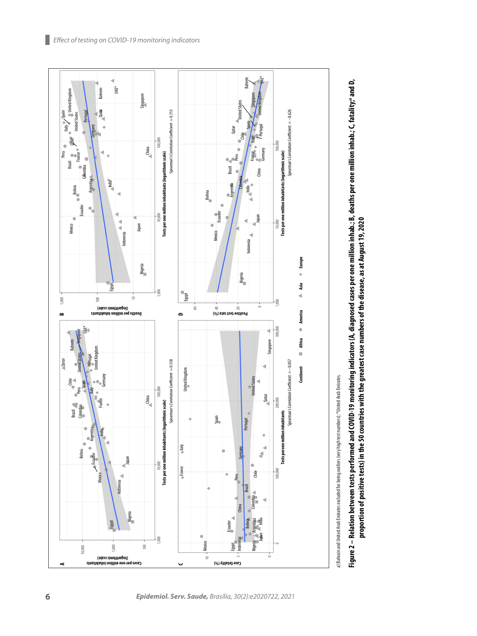



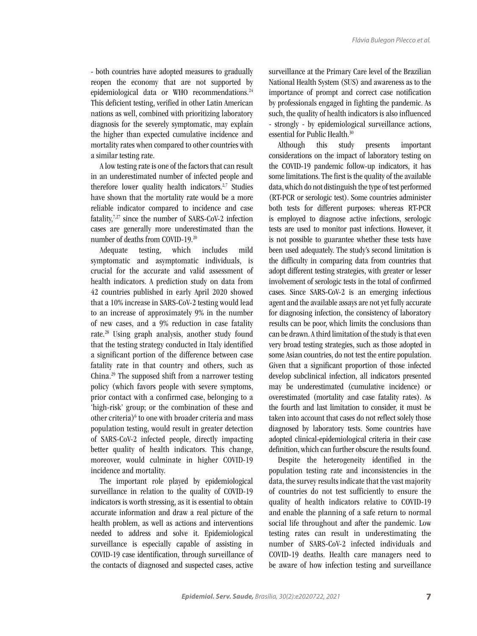- both countries have adopted measures to gradually reopen the economy that are not supported by epidemiological data or WHO recommendations.<sup>24</sup> This deficient testing, verified in other Latin American nations as well, combined with prioritizing laboratory diagnosis for the severely symptomatic, may explain the higher than expected cumulative incidence and mortality rates when compared to other countries with a similar testing rate.

A low testing rate is one of the factors that can result in an underestimated number of infected people and therefore lower quality health indicators.<sup>2,7</sup> Studies have shown that the mortality rate would be a more reliable indicator compared to incidence and case fatality, $7.27$  since the number of SARS-CoV-2 infection cases are generally more underestimated than the number of deaths from COVID-19.20

Adequate testing, which includes mild symptomatic and asymptomatic individuals, is crucial for the accurate and valid assessment of health indicators. A prediction study on data from 42 countries published in early April 2020 showed that a 10% increase in SARS-CoV-2 testing would lead to an increase of approximately 9% in the number of new cases, and a 9% reduction in case fatality rate.28 Using graph analysis, another study found that the testing strategy conducted in Italy identified a significant portion of the difference between case fatality rate in that country and others, such as China.29 The supposed shift from a narrower testing policy (which favors people with severe symptoms, prior contact with a confirmed case, belonging to a 'high-risk' group; or the combination of these and other criteria) $6$  to one with broader criteria and mass population testing, would result in greater detection of SARS-CoV-2 infected people, directly impacting better quality of health indicators. This change, moreover, would culminate in higher COVID-19 incidence and mortality.

The important role played by epidemiological surveillance in relation to the quality of COVID-19 indicators is worth stressing, as it is essential to obtain accurate information and draw a real picture of the health problem, as well as actions and interventions needed to address and solve it. Epidemiological surveillance is especially capable of assisting in COVID-19 case identification, through surveillance of the contacts of diagnosed and suspected cases, active surveillance at the Primary Care level of the Brazilian National Health System (SUS) and awareness as to the importance of prompt and correct case notification by professionals engaged in fighting the pandemic. As such, the quality of health indicators is also influenced - strongly - by epidemiological surveillance actions, essential for Public Health.30

Although this study presents important considerations on the impact of laboratory testing on the COVID-19 pandemic follow-up indicators, it has some limitations. The first is the quality of the available data, which do not distinguish the type of test performed (RT-PCR or serologic test). Some countries administer both tests for different purposes: whereas RT-PCR is employed to diagnose active infections, serologic tests are used to monitor past infections. However, it is not possible to guarantee whether these tests have been used adequately. The study's second limitation is the difficulty in comparing data from countries that adopt different testing strategies, with greater or lesser involvement of serologic tests in the total of confirmed cases. Since SARS-CoV-2 is an emerging infectious agent and the available assays are not yet fully accurate for diagnosing infection, the consistency of laboratory results can be poor, which limits the conclusions than can be drawn. A third limitation of the study is that even very broad testing strategies, such as those adopted in some Asian countries, do not test the entire population. Given that a significant proportion of those infected develop subclinical infection, all indicators presented may be underestimated (cumulative incidence) or overestimated (mortality and case fatality rates). As the fourth and last limitation to consider, it must be taken into account that cases do not reflect solely those diagnosed by laboratory tests. Some countries have adopted clinical-epidemiological criteria in their case definition, which can further obscure the results found.

Despite the heterogeneity identified in the population testing rate and inconsistencies in the data, the survey results indicate that the vast majority of countries do not test sufficiently to ensure the quality of health indicators relative to COVID-19 and enable the planning of a safe return to normal social life throughout and after the pandemic. Low testing rates can result in underestimating the number of SARS-CoV-2 infected individuals and COVID-19 deaths. Health care managers need to be aware of how infection testing and surveillance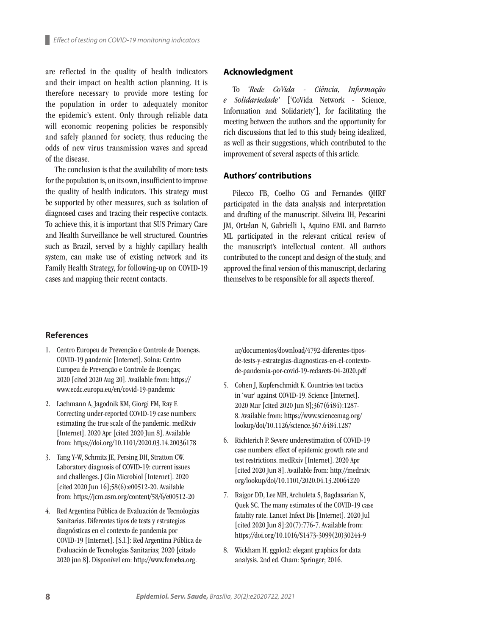are reflected in the quality of health indicators and their impact on health action planning. It is therefore necessary to provide more testing for the population in order to adequately monitor the epidemic's extent. Only through reliable data will economic reopening policies be responsibly and safely planned for society, thus reducing the odds of new virus transmission waves and spread of the disease.

The conclusion is that the availability of more tests for the population is, on its own, insufficient to improve the quality of health indicators. This strategy must be supported by other measures, such as isolation of diagnosed cases and tracing their respective contacts. To achieve this, it is important that SUS Primary Care and Health Surveillance be well structured. Countries such as Brazil, served by a highly capillary health system, can make use of existing network and its Family Health Strategy, for following-up on COVID-19 cases and mapping their recent contacts.

#### **Acknowledgment**

To *'Rede CoVida - Ciência, Informação e Solidariedade'* ['CoVida Network - Science, Information and Solidariety'], for facilitating the meeting between the authors and the opportunity for rich discussions that led to this study being idealized, as well as their suggestions, which contributed to the improvement of several aspects of this article.

#### **Authors' contributions**

Pilecco FB, Coelho CG and Fernandes QHRF participated in the data analysis and interpretation and drafting of the manuscript. Silveira IH, Pescarini JM, Ortelan N, Gabrielli L, Aquino EML and Barreto ML participated in the relevant critical review of the manuscript's intellectual content. All authors contributed to the concept and design of the study, and approved the final version of this manuscript, declaring themselves to be responsible for all aspects thereof.

#### **References**

- 1. Centro Europeu de Prevenção e Controle de Doenças. COVID-19 pandemic [Internet]. Solna: Centro Europeu de Prevenção e Controle de Doenças; 2020 [cited 2020 Aug 20]. Available from: [https://](https://www.ecdc.europa.eu/en/covid-19-pandemic) [www.ecdc.europa.eu/en/covid-19-pandemic](https://www.ecdc.europa.eu/en/covid-19-pandemic)
- 2. Lachmann A, Jagodnik KM, Giorgi FM, Ray F. Correcting under-reported COVID-19 case numbers: estimating the true scale of the pandemic. medRxiv [Internet]. 2020 Apr [cited 2020 Jun 8]. Available from: <https://doi.org/10.1101/2020.03.14.20036178>
- 3. Tang Y-W, Schmitz JE, Persing DH, Stratton CW. Laboratory diagnosis of COVID-19: current issues and challenges. J Clin Microbiol [Internet]. 2020 [cited 2020 Jun 16];58(6):e00512-20. Available from: <https://jcm.asm.org/content/58/6/e00512-20>
- 4. Red Argentina Pública de Evaluación de Tecnologías Sanitarias. Diferentes tipos de tests y estrategias diagnósticas en el contexto de pandemia por COVID-19 [Internet]. [S.l.]: Red Argentina Pública de Evaluación de Tecnologías Sanitarias; 2020 [citado 2020 jun 8]. Disponível em: [http://www.femeba.org.](http://www.femeba.org.ar/documentos/download/4792-diferentes-tipos-de-tests-y-estrategias-diagnosticas-en-el-contexto-de-pandemia-por-covid-19-redarets-04-2020.pdf)

[ar/documentos/download/4792-diferentes-tipos](http://www.femeba.org.ar/documentos/download/4792-diferentes-tipos-de-tests-y-estrategias-diagnosticas-en-el-contexto-de-pandemia-por-covid-19-redarets-04-2020.pdf)[de-tests-y-estrategias-diagnosticas-en-el-contexto](http://www.femeba.org.ar/documentos/download/4792-diferentes-tipos-de-tests-y-estrategias-diagnosticas-en-el-contexto-de-pandemia-por-covid-19-redarets-04-2020.pdf)[de-pandemia-por-covid-19-redarets-04-2020.pdf](http://www.femeba.org.ar/documentos/download/4792-diferentes-tipos-de-tests-y-estrategias-diagnosticas-en-el-contexto-de-pandemia-por-covid-19-redarets-04-2020.pdf)

- 5. Cohen J, Kupferschmidt K. Countries test tactics in 'war' against COVID-19. Science [Internet]. 2020 Mar [cited 2020 Jun 8];367(6484):1287- 8. Available from: [https://www.sciencemag.org/](https://www.sciencemag.org/lookup/doi/10.1126/science.367.6484.1287) [lookup/doi/10.1126/science.367.6484.1287](https://www.sciencemag.org/lookup/doi/10.1126/science.367.6484.1287)
- 6. Richterich P. Severe underestimation of COVID-19 case numbers: effect of epidemic growth rate and test restrictions. medRxiv [Internet]. 2020 Apr [cited 2020 Jun 8]. Available from: [http://medrxiv.](http://medrxiv.org/lookup/doi/10.1101/2020.04.13.20064220) [org/lookup/doi/10.1101/2020.04.13.20064220](http://medrxiv.org/lookup/doi/10.1101/2020.04.13.20064220)
- 7. Rajgor DD, Lee MH, Archuleta S, Bagdasarian N, Quek SC. The many estimates of the COVID-19 case fatality rate. Lancet Infect Dis [Internet]. 2020 Jul [cited 2020 Jun 8]:20(7):776-7. Available from: [https://doi.org/10.1016/S1473-3099\(20\)30244-9](https://doi.org/10.1016/S1473-3099(20)30244-9)
- 8. Wickham H. ggplot2: elegant graphics for data analysis. 2nd ed. Cham: Springer; 2016.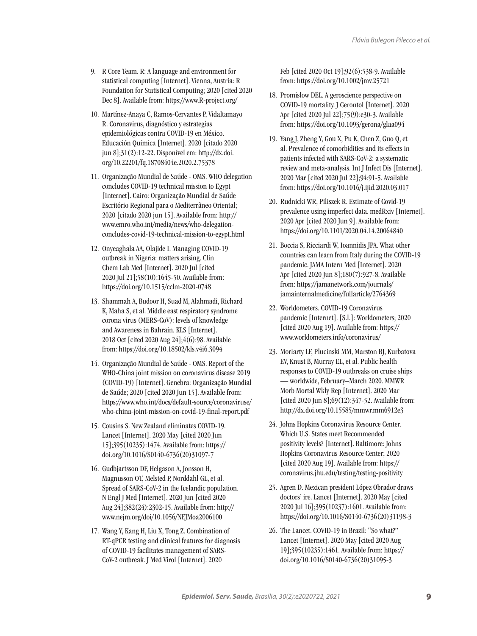- 9. R Core Team. R: A language and environment for statistical computing [Internet]. Vienna, Austria: R Foundation for Statistical Computing; 2020 [cited 2020 Dec 8]. Available from: <https://www.R-project.org/>
- 10. Martínez-Anaya C, Ramos-Cervantes P, Vidaltamayo R. Coronavirus, diagnóstico y estrategias epidemiológicas contra COVID-19 en México. Educación Química [Internet]. 2020 [citado 2020 jun 8];31(2):12-22. Disponível em: [http://dx.doi.](http://dx.doi.org/10.22201/fq.18708404e.2020.2.75378) [org/10.22201/fq.18708404e.2020.2.75378](http://dx.doi.org/10.22201/fq.18708404e.2020.2.75378)
- 11. Organização Mundial de Saúde OMS. WHO delegation concludes COVID-19 technical mission to Egypt [Internet]. Cairo: Organização Mundial de Saúde Escritório Regional para o Mediterrâneo Oriental; 2020 [citado 2020 jun 15]. Available from: [http://](http://www.emro.who.int/media/news/who-delegation-concludes-covid-19-technical-mission-to-egypt.html) [www.emro.who.int/media/news/who-delegation](http://www.emro.who.int/media/news/who-delegation-concludes-covid-19-technical-mission-to-egypt.html)[concludes-covid-19-technical-mission-to-egypt.html](http://www.emro.who.int/media/news/who-delegation-concludes-covid-19-technical-mission-to-egypt.html)
- 12. Onyeaghala AA, Olajide I. Managing COVID-19 outbreak in Nigeria: matters arising. Clin Chem Lab Med [Internet]. 2020 Jul [cited 2020 Jul 21];58(10):1645-50. Available from: <https://doi.org/10.1515/cclm-2020-0748>
- 13. Shammah A, Budoor H, Suad M, Alahmadi, Richard K, Maha S, et al. Middle east respiratory syndrome corona virus (MERS-CoV): levels of knowledge and Awareness in Bahrain. KLS [Internet]. 2018 Oct [cited 2020 Aug 24];4(6):98. Available from:<https://doi.org/10.18502/kls.v4i6.3094>
- 14. Organização Mundial de Saúde OMS. Report of the WHO-China joint mission on coronavirus disease 2019 (COVID-19) [Internet]. Genebra: Organização Mundial de Saúde; 2020 [cited 2020 Jun 15]. Available from: [https://www.who.int/docs/default-source/coronaviruse/](https://www.who.int/docs/default-source/coronaviruse/who-china-joint-mission-on-covid-19-final-report.pdf) [who-china-joint-mission-on-covid-19-final-report.pdf](https://www.who.int/docs/default-source/coronaviruse/who-china-joint-mission-on-covid-19-final-report.pdf)
- 15. Cousins S. New Zealand eliminates COVID-19. Lancet [Internet]. 2020 May [cited 2020 Jun 15];395(10235):1474. Available from: [https://](https://doi.org/10.1016/S0140-6736(20)31097-7) [doi.org/10.1016/S0140-6736\(20\)31097-7](https://doi.org/10.1016/S0140-6736(20)31097-7)
- 16. Gudbjartsson DF, Helgason A, Jonsson H, Magnusson OT, Melsted P, Norddahl GL, et al. Spread of SARS-CoV-2 in the Icelandic population. N Engl J Med [Internet]. 2020 Jun [cited 2020 Aug 24];382(24):2302-15. Available from: [http://](http://www.nejm.org/doi/10.1056/NEJMoa2006100) [www.nejm.org/doi/10.1056/NEJMoa2006100](http://www.nejm.org/doi/10.1056/NEJMoa2006100)
- 17. Wang Y, Kang H, Liu X, Tong Z. Combination of RT-qPCR testing and clinical features for diagnosis of COVID-19 facilitates management of SARS-CoV-2 outbreak. J Med Virol [Internet]. 2020

Feb [cited 2020 Oct 19];92(6):538-9. Available from: <https://doi.org/10.1002/jmv.25721>

- 18. Promislow DEL. A geroscience perspective on COVID-19 mortality. J Gerontol [Internet]. 2020 Apr [cited 2020 Jul 22];75(9):e30-3. Available from: <https://doi.org/10.1093/gerona/glaa094>
- 19. Yang J, Zheng Y, Gou X, Pu K, Chen Z, Guo Q, et al. Prevalence of comorbidities and its effects in patients infected with SARS-CoV-2: a systematic review and meta-analysis. Int J Infect Dis [Internet]. 2020 Mar [cited 2020 Jul 22];94:91-5. Available from: <https://doi.org/10.1016/j.ijid.2020.03.017>
- 20. Rudnicki WR, Piliszek R. Estimate of Covid-19 prevalence using imperfect data. medRxiv [Internet]. 2020 Apr [cited 2020 Jun 9]. Available from: <https://doi.org/10.1101/2020.04.14.20064840>
- 21. Boccia S, Ricciardi W, Ioannidis JPA. What other countries can learn from Italy during the COVID-19 pandemic. JAMA Intern Med [Internet]. 2020 Apr [cited 2020 Jun 8];180(7):927-8. Available from: [https://jamanetwork.com/journals/](https://jamanetwork.com/journals/jamainternalmedicine/fullarticle/2764369) [jamainternalmedicine/fullarticle/2764369](https://jamanetwork.com/journals/jamainternalmedicine/fullarticle/2764369)
- 22. Worldometers. COVID-19 Coronavirus pandemic [Internet]. [S.l.]: Worldometers; 2020 [cited 2020 Aug 19]. Available from: [https://](https://www.worldometers.info/coronavirus/) [www.worldometers.info/coronavirus/](https://www.worldometers.info/coronavirus/)
- 23. Moriarty LF, Plucinski MM, Marston BJ, Kurbatova EV, Knust B, Murray EL, et al. Public health responses to COVID-19 outbreaks on cruise ships — worldwide, February–March 2020. MMWR Morb Mortal Wkly Rep [Internet]. 2020 Mar [cited 2020 Jun 8];69(12):347-52. Available from: <http://dx.doi.org/10.15585/mmwr.mm6912e3>
- 24. Johns Hopkins Coronavirus Resource Center. Which U.S. States meet Recommended positivity levels? [Internet]. Baltimore: Johns Hopkins Coronavirus Resource Center; 2020 [cited 2020 Aug 19]. Available from: [https://](https://coronavirus.jhu.edu/testing/testing-positivity) [coronavirus.jhu.edu/testing/testing-positivity](https://coronavirus.jhu.edu/testing/testing-positivity)
- 25. Agren D. Mexican president López Obrador draws doctors' ire. Lancet [Internet]. 2020 May [cited 2020 Jul 16];395(10237):1601. Available from: [https://doi.org/10.1016/S0140-6736\(20\)31198-3](https://doi.org/10.1016/S0140-6736(20)31198-3)
- 26. The Lancet. COVID-19 in Brazil: "So what?" Lancet [Internet]. 2020 May [cited 2020 Aug 19];395(10235):1461. Available from: [https://](https://doi.org/10.1016/S0140-6736(20)31095-3) [doi.org/10.1016/S0140-6736\(20\)31095-3](https://doi.org/10.1016/S0140-6736(20)31095-3)